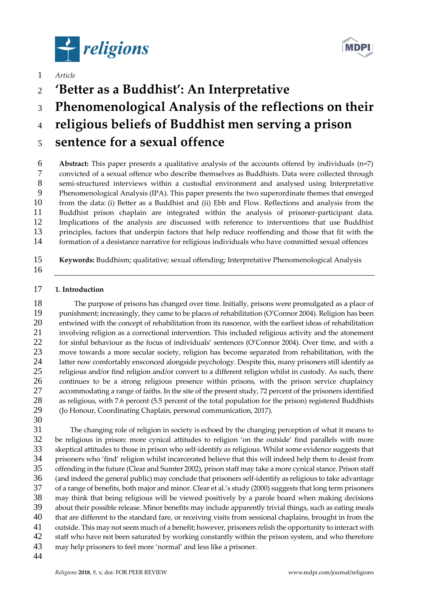



# *Article*

- **'Better as a Buddhist': An Interpretative**
- **Phenomenological Analysis of the reflections on their**
- **religious beliefs of Buddhist men serving a prison**
- **sentence for a sexual offence**

 **Abstract:** This paper presents a qualitative analysis of the accounts offered by individuals (n=7) convicted of a sexual offence who describe themselves as Buddhists. Data were collected through semi-structured interviews within a custodial environment and analysed using Interpretative Phenomenological Analysis (IPA). This paper presents the two superordinate themes that emerged from the data: (i) Better as a Buddhist and (ii) Ebb and Flow. Reflections and analysis from the Buddhist prison chaplain are integrated within the analysis of prisoner-participant data. Implications of the analysis are discussed with reference to interventions that use Buddhist principles, factors that underpin factors that help reduce reoffending and those that fit with the formation of a desistance narrative for religious individuals who have committed sexual offences

- **Keywords:** Buddhism; qualitative; sexual offending; Interpretative Phenomenological Analysis
- 

#### **1. Introduction**

 The purpose of prisons has changed over time. Initially, prisons were promulgated as a place of punishment; increasingly, they came to be places of rehabilitation (O'Connor 2004). Religion has been entwined with the concept of rehabilitation from its nascence, with the earliest ideas of rehabilitation involving religion as a correctional intervention. This included religious activity and the atonement for sinful behaviour as the focus of individuals' sentences (O'Connor 2004). Over time, and with a move towards a more secular society, religion has become separated from rehabilitation, with the latter now comfortably ensconced alongside psychology. Despite this, many prisoners still identify as religious and/or find religion and/or convert to a different religion whilst in custody. As such, there continues to be a strong religious presence within prisons, with the prison service chaplaincy accommodating a range of faiths. In the site of the present study, 72 percent of the prisoners identified as religious, with 7.6 percent (5.5 percent of the total population for the prison) registered Buddhists (Jo Honour, Coordinating Chaplain, personal communication, 2017).

 The changing role of religion in society is echoed by the changing perception of what it means to be religious in prison: more cynical attitudes to religion 'on the outside' find parallels with more skeptical attitudes to those in prison who self-identify as religious. Whilst some evidence suggests that prisoners who 'find' religion whilst incarcerated believe that this will indeed help them to desist from offending in the future (Clear and Sumter 2002), prison staff may take a more cynical stance. Prison staff (and indeed the general public) may conclude that prisoners self-identify as religious to take advantage of a range of benefits, both major and minor. Clear et al.'s study (2000) suggests that long term prisoners may think that being religious will be viewed positively by a parole board when making decisions about their possible release. Minor benefits may include apparently trivial things, such as eating meals that are different to the standard fare, or receiving visits from sessional chaplains, brought in from the outside. This may not seem much of a benefit; however, prisoners relish the opportunity to interact with staff who have not been saturated by working constantly within the prison system, and who therefore may help prisoners to feel more 'normal' and less like a prisoner.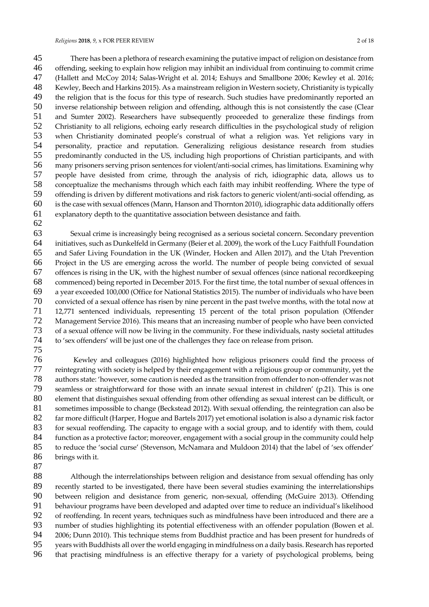There has been a plethora of research examining the putative impact of religion on desistance from offending, seeking to explain how religion may inhibit an individual from continuing to commit crime (Hallett and McCoy 2014; Salas-Wright et al. 2014; Eshuys and Smallbone 2006; Kewley et al. 2016; Kewley, Beech and Harkins 2015). As a mainstream religion in Western society, Christianity is typically the religion that is the focus for this type of research. Such studies have predominantly reported an inverse relationship between religion and offending, although this is not consistently the case (Clear and Sumter 2002). Researchers have subsequently proceeded to generalize these findings from Christianity to all religions, echoing early research difficulties in the psychological study of religion when Christianity dominated people's construal of what a religion was. Yet religions vary in 54 personality, practice and reputation. Generalizing religious desistance research from studies<br>55 predominantly conducted in the US including high proportions of Christian participants, and with predominantly conducted in the US, including high proportions of Christian participants, and with many prisoners serving prison sentences for violent/anti-social crimes, has limitations. Examining why people have desisted from crime, through the analysis of rich, idiographic data, allows us to 58 conceptualize the mechanisms through which each faith may inhibit reoffending. Where the type of<br>59 offending is driven by different motivations and risk factors to generic violent/anti-social offending, as offending is driven by different motivations and risk factors to generic violent/anti-social offending, as is the case with sexual offences (Mann, Hanson and Thornton 2010), idiographic data additionally offers explanatory depth to the quantitative association between desistance and faith.

62

 Sexual crime is increasingly being recognised as a serious societal concern. Secondary prevention initiatives, such as Dunkelfeld in Germany (Beier et al. 2009), the work of the Lucy Faithfull Foundation and Safer Living Foundation in the UK (Winder, Hocken and Allen 2017), and the Utah Prevention Project in the US are emerging across the world. The number of people being convicted of sexual offences is rising in the UK, with the highest number of sexual offences (since national recordkeeping commenced) being reported in December 2015. For the first time, the total number of sexual offences in a year exceeded 100,000 (Office for National Statistics 2015). The number of individuals who have been convicted of a sexual offence has risen by nine percent in the past twelve months, with the total now at 71 12,771 sentenced individuals, representing 15 percent of the total prison population (Offender<br>72 Management Service 2016). This means that an increasing number of people who have been convicted Management Service 2016). This means that an increasing number of people who have been convicted 73 of a sexual offence will now be living in the community. For these individuals, nasty societal attitudes<br>74 to 'sex offenders' will be just one of the challenges they face on release from prison. to 'sex offenders' will be just one of the challenges they face on release from prison.

75

76 Kewley and colleagues (2016) highlighted how religious prisoners could find the process of 77 reintegrating with society is helped by their engagement with a religious group or community, yet the 78 authors state: 'however, some caution is needed as the transition from offender to non-offender was not<br>79 seamless or straightforward for those with an innate sexual interest in children' (p.21). This is one 79 seamless or straightforward for those with an innate sexual interest in children' (p.21). This is one 80 element that distinguishes sexual offending from other offending as sexual interest can be difficult, or<br>81 sometimes impossible to change (Beckstead 2012). With sexual offending, the reintegration can also be sometimes impossible to change (Beckstead 2012). With sexual offending, the reintegration can also be 82 far more difficult (Harper, Hogue and Bartels 2017) yet emotional isolation is also a dynamic risk factor 83 for sexual reoffending. The capacity to engage with a social group, and to identify with them, could 84 function as a protective factor; moreover, engagement with a social group in the community could help<br>85 to reduce the 'social curse' (Stevenson, McNamara and Muldoon 2014) that the label of 'sex offender' to reduce the 'social curse' (Stevenson, McNamara and Muldoon 2014) that the label of 'sex offender' 86 brings with it.

87

88 Although the interrelationships between religion and desistance from sexual offending has only 89 recently started to be investigated, there have been several studies examining the interrelationships<br>90 between religion and desistance from generic, non-sexual, offending (McGuire 2013). Offending between religion and desistance from generic, non-sexual, offending (McGuire 2013). Offending 91 behaviour programs have been developed and adapted over time to reduce an individual's likelihood 92 of reoffending. In recent years, techniques such as mindfulness have been introduced and there are a<br>93 number of studies highlighting its potential effectiveness with an offender population (Bowen et al. 93 number of studies highlighting its potential effectiveness with an offender population (Bowen et al.<br>94 2006: Dunn 2010) This technique stems from Buddhist practice and has been present for hundreds of 94 2006; Dunn 2010). This technique stems from Buddhist practice and has been present for hundreds of<br>95 vears with Buddhists all over the world engaging in mindfulness on a daily basis. Research has reported years with Buddhists all over the world engaging in mindfulness on a daily basis. Research has reported 96 that practising mindfulness is an effective therapy for a variety of psychological problems, being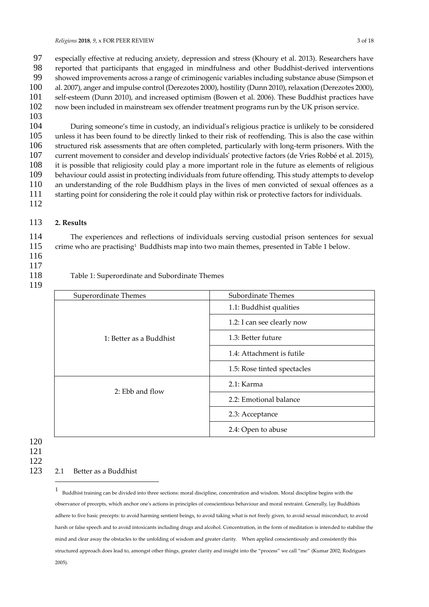97 especially effective at reducing anxiety, depression and stress (Khoury et al. 2013). Researchers have<br>98 reported that participants that engaged in mindfulness and other Buddhist-derived interventions

- 98 reported that participants that engaged in mindfulness and other Buddhist-derived interventions 99 showed improvements across a range of criminogenic variables including substance abuse (Simpson et
- 100 al. 2007), anger and impulse control (Derezotes 2000), hostility (Dunn 2010), relaxation (Derezotes 2000),
- 101 self-esteem (Dunn 2010), and increased optimism (Bowen et al. 2006). These Buddhist practices have
- 102 now been included in mainstream sex offender treatment programs run by the UK prison service.
- 103

 During someone's time in custody, an individual's religious practice is unlikely to be considered unless it has been found to be directly linked to their risk of reoffending. This is also the case within structured risk assessments that are often completed, particularly with long-term prisoners. With the current movement to consider and develop individuals' protective factors (de Vries Robbé et al. 2015), it is possible that religiosity could play a more important role in the future as elements of religious behaviour could assist in protecting individuals from future offending. This study attempts to develop 110 an understanding of the role Buddhism plays in the lives of men convicted of sexual offences as a<br>111 starting point for considering the role it could play within risk or protective factors for individuals. starting point for considering the role it could play within risk or protective factors for individuals.

## 113 **2. Results**

114 The experiences and reflections of individuals serving custodial prison sentences for sexual 115 crime who are practising<sup>1</sup> Buddhists map into two main themes, presented in Table 1 below.

116

112

117

119

118 Table 1: Superordinate and Subordinate Themes

Superordinate Themes Subordinate Themes 1: Better as a Buddhist 1.1: Buddhist qualities 1.2: I can see clearly now 1.3: Better future 1.4: Attachment is futile 1.5: Rose tinted spectacles 2: Ebb and flow 2.1: Karma 2.2: Emotional balance 2.3: Acceptance 2.4: Open to abuse

120 121

122

 $\overline{a}$ 

### 123 2.1 Better as a Buddhist

1 Buddhist training can be divided into three sections: moral discipline, concentration and wisdom. Moral discipline begins with the observance of precepts, which anchor one's actions in principles of conscientious behaviour and moral restraint. Generally, lay Buddhists adhere to five basic precepts: to avoid harming sentient beings, to avoid taking what is not freely given, to avoid sexual misconduct, to avoid harsh or false speech and to avoid intoxicants including drugs and alcohol. Concentration, in the form of meditation is intended to stabilise the mind and clear away the obstacles to the unfolding of wisdom and greater clarity. When applied conscientiously and consistently this structured approach does lead to, amongst other things, greater clarity and insight into the "process" we call "me" (Kumar 2002; Rodrigues 2005).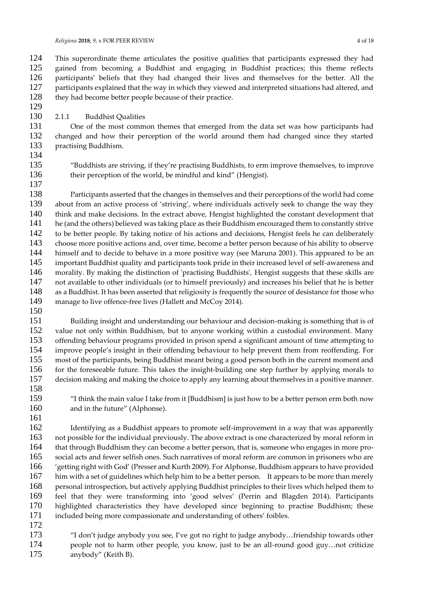This superordinate theme articulates the positive qualities that participants expressed they had gained from becoming a Buddhist and engaging in Buddhist practices; this theme reflects participants' beliefs that they had changed their lives and themselves for the better. All the participants explained that the way in which they viewed and interpreted situations had altered, and 128 they had become better people because of their practice.

2.1.1 Buddhist Qualities

 One of the most common themes that emerged from the data set was how participants had changed and how their perception of the world around them had changed since they started practising Buddhism.

 "Buddhists are striving, if they're practising Buddhists, to erm improve themselves, to improve 136 their perception of the world, be mindful and kind" (Hengist).

 Participants asserted that the changes in themselves and their perceptions of the world had come about from an active process of 'striving', where individuals actively seek to change the way they think and make decisions. In the extract above, Hengist highlighted the constant development that he (and the others) believed was taking place as their Buddhism encouraged them to constantly strive 142 to be better people. By taking notice of his actions and decisions, Hengist feels he can deliberately<br>143 choose more positive actions and, over time, become a better person because of his ability to observe choose more positive actions and, over time, become a better person because of his ability to observe himself and to decide to behave in a more positive way (see Maruna 2001). This appeared to be an important Buddhist quality and participants took pride in their increased level of self-awareness and morality. By making the distinction of 'practising Buddhists', Hengist suggests that these skills are not available to other individuals (or to himself previously) and increases his belief that he is better as a Buddhist. It has been asserted that religiosity is frequently the source of desistance for those who manage to live offence-free lives (Hallett and McCoy 2014).

 Building insight and understanding our behaviour and decision-making is something that is of 152 value not only within Buddhism, but to anyone working within a custodial environment. Many<br>153 offending behaviour programs provided in prison spend a significant amount of time attempting to offending behaviour programs provided in prison spend a significant amount of time attempting to 154 improve people's insight in their offending behaviour to help prevent them from reoffending. For<br>155 most of the participants, being Buddhist meant being a good person both in the current moment and most of the participants, being Buddhist meant being a good person both in the current moment and for the foreseeable future. This takes the insight-building one step further by applying morals to decision making and making the choice to apply any learning about themselves in a positive manner. 

 "I think the main value I take from it [Buddhism] is just how to be a better person erm both now and in the future" (Alphonse). 

162 Identifying as a Buddhist appears to promote self-improvement in a way that was apparently not possible for the individual previously. The above extract is one characterized by moral reform in that through Buddhism they can become a better person, that is, someone who engages in more pro- social acts and fewer selfish ones. Such narratives of moral reform are common in prisoners who are 'getting right with God' (Presser and Kurth 2009). For Alphonse, Buddhism appears to have provided him with a set of guidelines which help him to be a better person. It appears to be more than merely personal introspection, but actively applying Buddhist principles to their lives which helped them to feel that they were transforming into 'good selves' (Perrin and Blagden 2014). Participants highlighted characteristics they have developed since beginning to practise Buddhism; these included being more compassionate and understanding of others' foibles.

 "I don't judge anybody you see, I've got no right to judge anybody…friendship towards other people not to harm other people, you know, just to be an all-round good guy…not criticize anybody" (Keith B).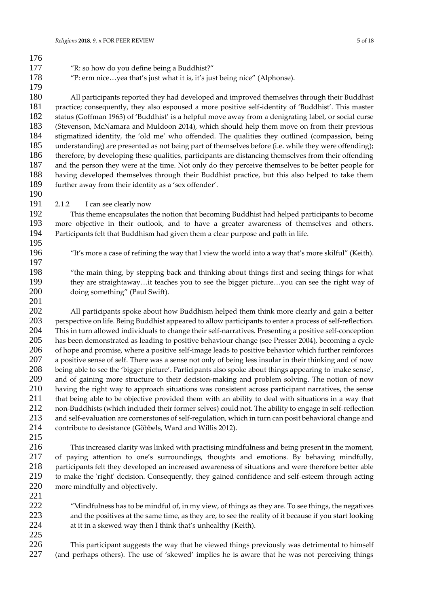"R: so how do you define being a Buddhist?" 178 "P: erm nice...yea that's just what it is, it's just being nice" (Alphonse).

 All participants reported they had developed and improved themselves through their Buddhist practice; consequently, they also espoused a more positive self-identity of 'Buddhist'. This master status (Goffman 1963) of 'Buddhist' is a helpful move away from a denigrating label, or social curse (Stevenson, McNamara and Muldoon 2014), which should help them move on from their previous stigmatized identity, the 'old me' who offended. The qualities they outlined (compassion, being understanding) are presented as not being part of themselves before (i.e. while they were offending); therefore, by developing these qualities, participants are distancing themselves from their offending and the person they were at the time. Not only do they perceive themselves to be better people for having developed themselves through their Buddhist practice, but this also helped to take them further away from their identity as a 'sex offender'.

2.1.2 I can see clearly now

 This theme encapsulates the notion that becoming Buddhist had helped participants to become more objective in their outlook, and to have a greater awareness of themselves and others. Participants felt that Buddhism had given them a clear purpose and path in life.

- "It's more a case of refining the way that I view the world into a way that's more skilful" (Keith).
- 
- 
- 

 "the main thing, by stepping back and thinking about things first and seeing things for what 199 they are straightaway...it teaches you to see the bigger picture...you can see the right way of

 doing something" (Paul Swift). 

 All participants spoke about how Buddhism helped them think more clearly and gain a better perspective on life. Being Buddhist appeared to allow participants to enter a process of self-reflection. This in turn allowed individuals to change their self-narratives. Presenting a positive self-conception has been demonstrated as leading to positive behaviour change (see Presser 2004), becoming a cycle 206 of hope and promise, where a positive self-image leads to positive behavior which further reinforces<br>207 a positive sense of self. There was a sense not only of being less insular in their thinking and of now a positive sense of self. There was a sense not only of being less insular in their thinking and of now being able to see the 'bigger picture'. Participants also spoke about things appearing to 'make sense', and of gaining more structure to their decision-making and problem solving. The notion of now 210 having the right way to approach situations was consistent across participant narratives, the sense<br>211 that being able to be objective provided them with an ability to deal with situations in a way that 211 that being able to be objective provided them with an ability to deal with situations in a way that 212 non-Buddhists (which included their former selves) could not. The ability to engage in self-reflection non-Buddhists (which included their former selves) could not. The ability to engage in self-reflection and self-evaluation are cornerstones of self-regulation, which in turn can posit behavioral change and contribute to desistance (Göbbels, Ward and Willis 2012).

216 This increased clarity was linked with practising mindfulness and being present in the moment,<br>217 of paying attention to one's surroundings, thoughts and emotions. By behaving mindfully, of paying attention to one's surroundings, thoughts and emotions. By behaving mindfully, participants felt they developed an increased awareness of situations and were therefore better able to make the 'right' decision. Consequently, they gained confidence and self-esteem through acting more mindfully and objectively.

 "Mindfulness has to be mindful of, in my view, of things as they are. To see things, the negatives 223 and the positives at the same time, as they are, to see the reality of it because if you start looking<br>224 at it in a skewed way then I think that's unhealthy (Keith). at it in a skewed way then I think that's unhealthy (Keith).

 This participant suggests the way that he viewed things previously was detrimental to himself (and perhaps others). The use of 'skewed' implies he is aware that he was not perceiving things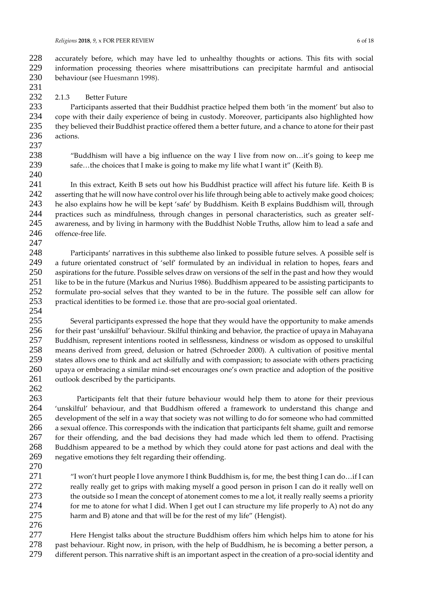2.1.3 Better Future

 Participants asserted that their Buddhist practice helped them both 'in the moment' but also to cope with their daily experience of being in custody. Moreover, participants also highlighted how 235 they believed their Buddhist practice offered them a better future, and a chance to atone for their past actions.

 "Buddhism will have a big influence on the way I live from now on…it's going to keep me safe…the choices that I make is going to make my life what I want it" (Keith B).

241 In this extract, Keith B sets out how his Buddhist practice will affect his future life. Keith B is<br>242 asserting that he will now have control over his life through being able to actively make good choices: asserting that he will now have control over his life through being able to actively make good choices; he also explains how he will be kept 'safe' by Buddhism. Keith B explains Buddhism will, through practices such as mindfulness, through changes in personal characteristics, such as greater self- awareness, and by living in harmony with the Buddhist Noble Truths, allow him to lead a safe and offence-free life. 

- Participants' narratives in this subtheme also linked to possible future selves. A possible self is 249 a future orientated construct of 'self' formulated by an individual in relation to hopes, fears and 250 aspirations for the future. Possible selves draw on versions of the self in the past and how they would aspirations for the future. Possible selves draw on versions of the self in the past and how they would 251 like to be in the future (Markus and Nurius 1986). Buddhism appeared to be assisting participants to 252 formulate pro-social selves that they wanted to be in the future. The possible self can allow for formulate pro-social selves that they wanted to be in the future. The possible self can allow for practical identities to be formed i.e. those that are pro-social goal orientated.
- 

 Several participants expressed the hope that they would have the opportunity to make amends 256 for their past 'unskilful' behaviour. Skilful thinking and behavior, the practice of upaya in Mahayana<br>257 Buddhism, represent intentions rooted in selflessness, kindness or wisdom as opposed to unskilful Buddhism, represent intentions rooted in selflessness, kindness or wisdom as opposed to unskilful 258 means derived from greed, delusion or hatred (Schroeder 2000). A cultivation of positive mental<br>259 states allows one to think and act skilfully and with compassion: to associate with others practicing states allows one to think and act skilfully and with compassion; to associate with others practicing upaya or embracing a similar mind-set encourages one's own practice and adoption of the positive 261 outlook described by the participants.

263 Participants felt that their future behaviour would help them to atone for their previous<br>264 'unskilful' behaviour, and that Buddhism offered a framework to understand this change and 'unskilful' behaviour, and that Buddhism offered a framework to understand this change and development of the self in a way that society was not willing to do for someone who had committed a sexual offence. This corresponds with the indication that participants felt shame, guilt and remorse for their offending, and the bad decisions they had made which led them to offend. Practising 268 Buddhism appeared to be a method by which they could atone for past actions and deal with the<br>269 negative emotions they felt regarding their offending. negative emotions they felt regarding their offending.

 "I won't hurt people I love anymore I think Buddhism is, for me, the best thing I can do…if I can really really get to grips with making myself a good person in prison I can do it really well on 273 the outside so I mean the concept of atonement comes to me a lot, it really really seems a priority for me to atone for what I did. When I get out I can structure my life properly to A) not do any harm and B) atone and that will be for the rest of my life" (Hengist).

 Here Hengist talks about the structure Buddhism offers him which helps him to atone for his 278 past behaviour. Right now, in prison, with the help of Buddhism, he is becoming a better person, a different person. This narrative shift is an important aspect in the creation of a pro-social identity and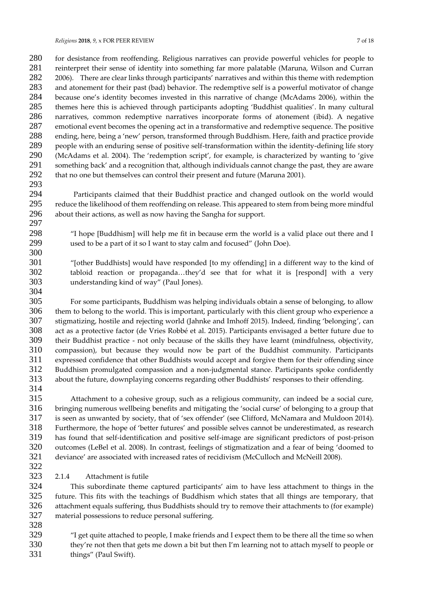280 for desistance from reoffending. Religious narratives can provide powerful vehicles for people to<br>281 feinterpret their sense of identity into something far more palatable (Maruna, Wilson and Curran reinterpret their sense of identity into something far more palatable (Maruna, Wilson and Curran 2006). There are clear links through participants' narratives and within this theme with redemption and atonement for their past (bad) behavior. The redemptive self is a powerful motivator of change 284 because one's identity becomes invested in this narrative of change (McAdams 2006), within the<br>285 themes here this is achieved through participants adopting 'Buddhist qualities'. In many cultural themes here this is achieved through participants adopting 'Buddhist qualities'. In many cultural narratives, common redemptive narratives incorporate forms of atonement (ibid). A negative emotional event becomes the opening act in a transformative and redemptive sequence. The positive ending, here, being a 'new' person, transformed through Buddhism. Here, faith and practice provide 289 people with an enduring sense of positive self-transformation within the identity-defining life story<br>290 (McAdams et al. 2004). The 'redemption script', for example, is characterized by wanting to 'give (McAdams et al. 2004). The 'redemption script', for example, is characterized by wanting to 'give something back' and a recognition that, although individuals cannot change the past, they are aware 292 that no one but themselves can control their present and future (Maruna 2001).

293<br>294

294 Participants claimed that their Buddhist practice and changed outlook on the world would<br>295 reduce the likelihood of them reoffending on release. This appeared to stem from being more mindful 295 reduce the likelihood of them reoffending on release. This appeared to stem from being more mindful 296 about their actions, as well as now having the Sangha for support. 297

- <sup>298</sup> "I hope [Buddhism] will help me fit in because erm the world is a valid place out there and I<br><sup>299</sup> used to be a part of it so I want to stay calm and focused" (John Doe). used to be a part of it so I want to stay calm and focused" (John Doe).
- 301 "[other Buddhists] would have responded [to my offending] in a different way to the kind of tabloid reaction or propaganda…they'd see that for what it is [respond] with a very 303 understanding kind of way" (Paul Jones).
- 304

300

305 For some participants, Buddhism was helping individuals obtain a sense of belonging, to allow 306 them to belong to the world. This is important, particularly with this client group who experience a 307 stigmatizing, hostile and rejecting world (Jahnke and Imhoff 2015). Indeed, finding 'belonging', can 308 act as a protective factor (de Vries Robbé et al. 2015). Participants envisaged a better future due to <br>309 their Buddhist practice - not only because of the skills they have learnt (mindfulness, objectivity, their Buddhist practice - not only because of the skills they have learnt (mindfulness, objectivity, 310 compassion), but because they would now be part of the Buddhist community. Participants<br>311 expressed confidence that other Buddhists would accept and forgive them for their offending since expressed confidence that other Buddhists would accept and forgive them for their offending since 312 Buddhism promulgated compassion and a non-judgmental stance. Participants spoke confidently 313 about the future, downplaying concerns regarding other Buddhists' responses to their offending. 314

- 315 Attachment to a cohesive group, such as a religious community, can indeed be a social cure,<br>316 bringing numerous wellbeing benefits and mitigating the 'social curse' of belonging to a group that bringing numerous wellbeing benefits and mitigating the 'social curse' of belonging to a group that 317 is seen as unwanted by society, that of 'sex offender' (see Clifford, McNamara and Muldoon 2014). 318 Furthermore, the hope of 'better futures' and possible selves cannot be underestimated, as research 319 has found that self-identification and positive self-image are significant predictors of post-prison<br>320 outcomes (LeBel et al. 2008). In contrast, feelings of stigmatization and a fear of being 'doomed to 320 outcomes (LeBel et al. 2008). In contrast, feelings of stigmatization and a fear of being 'doomed to deviance' are associated with increased rates of recidivism (McCulloch and McNeill 2008). deviance' are associated with increased rates of recidivism (McCulloch and McNeill 2008).
- 322
- 323 2.1.4 Attachment is futile<br>324 This subordinate theme

324 This subordinate theme captured participants' aim to have less attachment to things in the<br>325 future. This fits with the teachings of Buddhism which states that all things are temporary, that future. This fits with the teachings of Buddhism which states that all things are temporary, that 326 attachment equals suffering, thus Buddhists should try to remove their attachments to (for example) 327 material possessions to reduce personal suffering.

328

329 "I get quite attached to people, I make friends and I expect them to be there all the time so when 330 they're not then that gets me down a bit but then I'm learning not to attach myself to people or 331 things" (Paul Swift).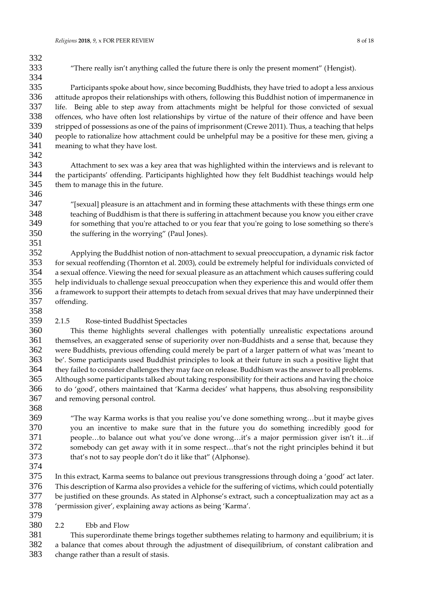"There really isn't anything called the future there is only the present moment" (Hengist).

 Participants spoke about how, since becoming Buddhists, they have tried to adopt a less anxious attitude apropos their relationships with others, following this Buddhist notion of impermanence in life. Being able to step away from attachments might be helpful for those convicted of sexual offences, who have often lost relationships by virtue of the nature of their offence and have been stripped of possessions as one of the pains of imprisonment (Crewe 2011). Thus, a teaching that helps people to rationalize how attachment could be unhelpful may be a positive for these men, giving a meaning to what they have lost.

 Attachment to sex was a key area that was highlighted within the interviews and is relevant to the participants' offending. Participants highlighted how they felt Buddhist teachings would help them to manage this in the future.

 "[sexual] pleasure is an attachment and in forming these attachments with these things erm one teaching of Buddhism is that there is suffering in attachment because you know you either crave for something that you're attached to or you fear that you're going to lose something so there's the suffering in the worrying" (Paul Jones).

 Applying the Buddhist notion of non-attachment to sexual preoccupation, a dynamic risk factor for sexual reoffending (Thornton et al. 2003), could be extremely helpful for individuals convicted of a sexual offence. Viewing the need for sexual pleasure as an attachment which causes suffering could help individuals to challenge sexual preoccupation when they experience this and would offer them a framework to support their attempts to detach from sexual drives that may have underpinned their offending.

### 2.1.5 Rose-tinted Buddhist Spectacles

 This theme highlights several challenges with potentially unrealistic expectations around themselves, an exaggerated sense of superiority over non-Buddhists and a sense that, because they 362 were Buddhists, previous offending could merely be part of a larger pattern of what was 'meant to 363 be'. Some participants used Buddhist principles to look at their future in such a positive light that be'. Some participants used Buddhist principles to look at their future in such a positive light that they failed to consider challenges they may face on release. Buddhism was the answer to all problems. Although some participants talked about taking responsibility for their actions and having the choice to do 'good', others maintained that 'Karma decides' what happens, thus absolving responsibility and removing personal control.

 "The way Karma works is that you realise you've done something wrong…but it maybe gives you an incentive to make sure that in the future you do something incredibly good for 371 people…to balance out what you've done wrong…it's a major permission giver isn't it…if 372 somebody can get away with it in some respect...that's not the right principles behind it but that's not to say people don't do it like that'' (Alphonse). that's not to say people don't do it like that" (Alphonse).

 In this extract, Karma seems to balance out previous transgressions through doing a 'good' act later. This description of Karma also provides a vehicle for the suffering of victims, which could potentially be justified on these grounds. As stated in Alphonse's extract, such a conceptualization may act as a 'permission giver', explaining away actions as being 'Karma'.

- 
- 2.2 Ebb and Flow

 This superordinate theme brings together subthemes relating to harmony and equilibrium; it is a balance that comes about through the adjustment of disequilibrium, of constant calibration and change rather than a result of stasis.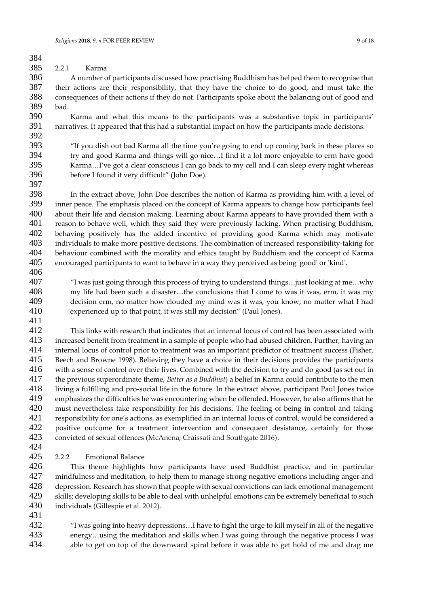2.2.1 Karma A number of participants discussed how practising Buddhism has helped them to recognise that their actions are their responsibility, that they have the choice to do good, and must take the consequences of their actions if they do not. Participants spoke about the balancing out of good and bad.

 Karma and what this means to the participants was a substantive topic in participants' narratives. It appeared that this had a substantial impact on how the participants made decisions. 

- <sup>393</sup> "If you dish out bad Karma all the time you're going to end up coming back in these places so<br><sup>394</sup> try and good Karma and things will go nice...I find it a lot more enjoyable to erm have good try and good Karma and things will go nice…I find it a lot more enjoyable to erm have good Karma…I've got a clear conscious I can go back to my cell and I can sleep every night whereas before I found it very difficult" (John Doe).
- 

 In the extract above, John Doe describes the notion of Karma as providing him with a level of inner peace. The emphasis placed on the concept of Karma appears to change how participants feel about their life and decision making. Learning about Karma appears to have provided them with a reason to behave well, which they said they were previously lacking. When practising Buddhism, 402 behaving positively has the added incentive of providing good Karma which may motivate<br>403 individuals to make more positive decisions. The combination of increased responsibility-taking for individuals to make more positive decisions. The combination of increased responsibility-taking for behaviour combined with the morality and ethics taught by Buddhism and the concept of Karma encouraged participants to want to behave in a way they perceived as being 'good' or 'kind'.

 "I was just going through this process of trying to understand things…just looking at me…why my life had been such a disaster…the conclusions that I come to was it was, erm, it was my decision erm, no matter how clouded my mind was it was, you know, no matter what I had experienced up to that point, it was still my decision" (Paul Jones).

 This links with research that indicates that an internal locus of control has been associated with increased benefit from treatment in a sample of people who had abused children. Further, having an 414 internal locus of control prior to treatment was an important predictor of treatment success (Fisher,<br>415 Beech and Browne 1998). Believing they have a choice in their decisions provides the participants Beech and Browne 1998). Believing they have a choice in their decisions provides the participants with a sense of control over their lives. Combined with the decision to try and do good (as set out in the previous superordinate theme, *Better as a Buddhist*) a belief in Karma could contribute to the men 418 living a fulfilling and pro-social life in the future. In the extract above, participant Paul Jones twice<br>419 emphasizes the difficulties he was encountering when he offended. However, he also affirms that he 419 emphasizes the difficulties he was encountering when he offended. However, he also affirms that he 420 must nevertheless take responsibility for his decisions. The feeling of being in control and taking must nevertheless take responsibility for his decisions. The feeling of being in control and taking responsibility for one's actions, as exemplified in an internal locus of control, would be considered a positive outcome for a treatment intervention and consequent desistance, certainly for those convicted of sexual offences (McAnena, Craissati and Southgate 2016).

2.2.2 Emotional Balance

 This theme highlights how participants have used Buddhist practice, and in particular 427 mindfulness and meditation, to help them to manage strong negative emotions including anger and<br>428 depression. Research has shown that people with sexual convictions can lack emotional management 428 depression. Research has shown that people with sexual convictions can lack emotional management<br>429 skills: developing skills to be able to deal with unhelpful emotions can be extremely beneficial to such skills; developing skills to be able to deal with unhelpful emotions can be extremely beneficial to such individuals (Gillespie et al. 2012).

 "I was going into heavy depressions…I have to fight the urge to kill myself in all of the negative energy…using the meditation and skills when I was going through the negative process I was able to get on top of the downward spiral before it was able to get hold of me and drag me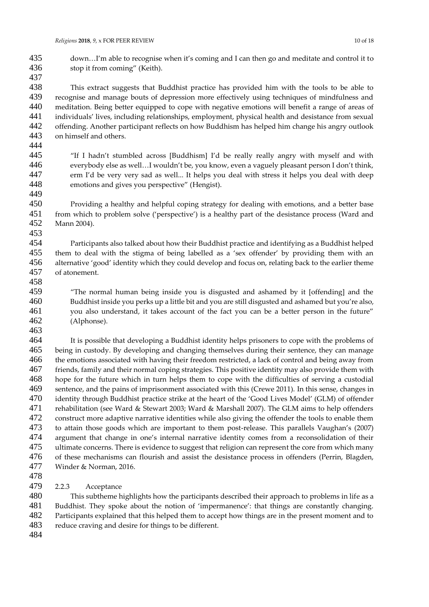down…I'm able to recognise when it's coming and I can then go and meditate and control it to stop it from coming" (Keith).

 This extract suggests that Buddhist practice has provided him with the tools to be able to recognise and manage bouts of depression more effectively using techniques of mindfulness and meditation. Being better equipped to cope with negative emotions will benefit a range of areas of individuals' lives, including relationships, employment, physical health and desistance from sexual offending. Another participant reflects on how Buddhism has helped him change his angry outlook on himself and others.

 "If I hadn't stumbled across [Buddhism] I'd be really really angry with myself and with everybody else as well…I wouldn't be, you know, even a vaguely pleasant person I don't think, erm I'd be very very sad as well... It helps you deal with stress it helps you deal with deep emotions and gives you perspective" (Hengist).

- Providing a healthy and helpful coping strategy for dealing with emotions, and a better base from which to problem solve ('perspective') is a healthy part of the desistance process (Ward and Mann 2004).
- 

 Participants also talked about how their Buddhist practice and identifying as a Buddhist helped them to deal with the stigma of being labelled as a 'sex offender' by providing them with an alternative 'good' identity which they could develop and focus on, relating back to the earlier theme of atonement.

 "The normal human being inside you is disgusted and ashamed by it [offending] and the Buddhist inside you perks up a little bit and you are still disgusted and ashamed but you're also, you also understand, it takes account of the fact you can be a better person in the future" (Alphonse).

 It is possible that developing a Buddhist identity helps prisoners to cope with the problems of being in custody. By developing and changing themselves during their sentence, they can manage the emotions associated with having their freedom restricted, a lack of control and being away from friends, family and their normal coping strategies. This positive identity may also provide them with hope for the future which in turn helps them to cope with the difficulties of serving a custodial 469 sentence, and the pains of imprisonment associated with this (Crewe 2011). In this sense, changes in<br>470 identity through Buddhist practice strike at the heart of the 'Good Lives Model' (GLM) of offender 470 identity through Buddhist practice strike at the heart of the 'Good Lives Model' (GLM) of offender<br>471 rehabilitation (see Ward & Stewart 2003: Ward & Marshall 2007). The GLM aims to help offenders rehabilitation (see Ward & Stewart 2003; Ward & Marshall 2007). The GLM aims to help offenders construct more adaptive narrative identities while also giving the offender the tools to enable them to attain those goods which are important to them post-release. This parallels Vaughan's (2007) 474 argument that change in one's internal narrative identity comes from a reconsolidation of their<br>475 ultimate concerns. There is evidence to suggest that religion can represent the core from which many 475 ultimate concerns. There is evidence to suggest that religion can represent the core from which many<br>476 of these mechanisms can flourish and assist the desistance process in offenders (Perrin, Blagden, of these mechanisms can flourish and assist the desistance process in offenders (Perrin, Blagden, Winder & Norman, 2016.

- 
- 2.2.3 Acceptance

 This subtheme highlights how the participants described their approach to problems in life as a Buddhist. They spoke about the notion of 'impermanence': that things are constantly changing. 482 Participants explained that this helped them to accept how things are in the present moment and to reduce craving and desire for things to be different. reduce craving and desire for things to be different.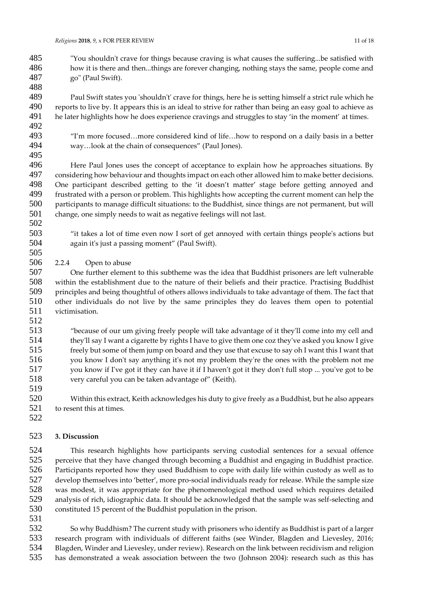"You shouldn't crave for things because craving is what causes the suffering...be satisfied with how it is there and then...things are forever changing, nothing stays the same, people come and go" (Paul Swift).

 Paul Swift states you 'shouldn't' crave for things, here he is setting himself a strict rule which he reports to live by. It appears this is an ideal to strive for rather than being an easy goal to achieve as he later highlights how he does experience cravings and struggles to stay 'in the moment' at times.

- "I'm more focused…more considered kind of life…how to respond on a daily basis in a better way…look at the chain of consequences" (Paul Jones).
- Here Paul Jones uses the concept of acceptance to explain how he approaches situations. By considering how behaviour and thoughts impact on each other allowed him to make better decisions. 498 One participant described getting to the 'it doesn't matter' stage before getting annoyed and<br>499 frustrated with a person or problem. This highlights how accepting the current moment can help the frustrated with a person or problem. This highlights how accepting the current moment can help the participants to manage difficult situations: to the Buddhist, since things are not permanent, but will change, one simply needs to wait as negative feelings will not last.
- 
- "it takes a lot of time even now I sort of get annoyed with certain things people's actions but again it's just a passing moment" (Paul Swift).
- 2.2.4 Open to abuse

 One further element to this subtheme was the idea that Buddhist prisoners are left vulnerable within the establishment due to the nature of their beliefs and their practice. Practising Buddhist principles and being thoughtful of others allows individuals to take advantage of them. The fact that other individuals do not live by the same principles they do leaves them open to potential victimisation. 

- "because of our um giving freely people will take advantage of it they'll come into my cell and they'll say I want a cigarette by rights I have to give them one coz they've asked you know I give freely but some of them jump on board and they use that excuse to say oh I want this I want that you know I don't say anything it's not my problem they're the ones with the problem not me you know if I've got it they can have it if I haven't got it they don't full stop ... you've got to be very careful you can be taken advantage of" (Keith).
- 520 Within this extract, Keith acknowledges his duty to give freely as a Buddhist, but he also appears<br>521 to resent this at times. to resent this at times.
- 

### **3. Discussion**

 This research highlights how participants serving custodial sentences for a sexual offence 525 perceive that they have changed through becoming a Buddhist and engaging in Buddhist practice.<br>526 Participants reported how they used Buddhism to cope with daily life within custody as well as to Participants reported how they used Buddhism to cope with daily life within custody as well as to develop themselves into 'better', more pro-social individuals ready for release. While the sample size was modest, it was appropriate for the phenomenological method used which requires detailed analysis of rich, idiographic data. It should be acknowledged that the sample was self-selecting and constituted 15 percent of the Buddhist population in the prison.

 So why Buddhism? The current study with prisoners who identify as Buddhist is part of a larger research program with individuals of different faiths (see Winder, Blagden and Lievesley, 2016; Blagden, Winder and Lievesley, under review). Research on the link between recidivism and religion has demonstrated a weak association between the two (Johnson 2004): research such as this has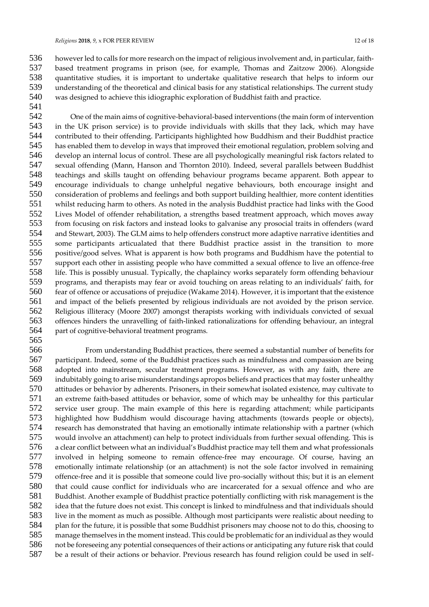536 however led to calls for more research on the impact of religious involvement and, in particular, faith-<br>537 based treatment programs in prison (see, for example, Thomas and Zaitzow 2006). Alongside based treatment programs in prison (see, for example, Thomas and Zaitzow 2006). Alongside quantitative studies, it is important to undertake qualitative research that helps to inform our understanding of the theoretical and clinical basis for any statistical relationships. The current study was designed to achieve this idiographic exploration of Buddhist faith and practice.

 One of the main aims of cognitive-behavioral-based interventions (the main form of intervention in the UK prison service) is to provide individuals with skills that they lack, which may have contributed to their offending. Participants highlighted how Buddhism and their Buddhist practice has enabled them to develop in ways that improved their emotional regulation, problem solving and develop an internal locus of control. These are all psychologically meaningful risk factors related to sexual offending (Mann, Hanson and Thornton 2010). Indeed, several parallels between Buddhist teachings and skills taught on offending behaviour programs became apparent. Both appear to 549 encourage individuals to change unhelpful negative behaviours, both encourage insight and<br>550 consideration of problems and feelings and both support building healthier, more content identities consideration of problems and feelings and both support building healthier, more content identities whilst reducing harm to others. As noted in the analysis Buddhist practice had links with the Good Lives Model of offender rehabilitation, a strengths based treatment approach, which moves away from focusing on risk factors and instead looks to galvanise any prosocial traits in offenders (ward 554 and Stewart, 2003). The GLM aims to help offenders construct more adaptive narrative identities and<br>555 some participants articualated that there Buddhist practice assist in the transition to more some participants articualated that there Buddhist practice assist in the transition to more positive/good selves. What is apparent is how both programs and Buddhism have the potential to support each other in assisting people who have committed a sexual offence to live an offence-free life. This is possibly unusual. Typically, the chaplaincy works separately form offending behaviour programs, and therapists may fear or avoid touching on areas relating to an individuals' faith, for fear of offence or accusations of prejudice (Wakame 2014). However, it is important that the existence and impact of the beliefs presented by religious individuals are not avoided by the prison service. Religious illiteracy (Moore 2007) amongst therapists working with individuals convicted of sexual offences hinders the unravelling of faith-linked rationalizations for offending behaviour, an integral part of cognitive-behavioral treatment programs.

 From understanding Buddhist practices, there seemed a substantial number of benefits for participant. Indeed, some of the Buddhist practices such as mindfulness and compassion are being adopted into mainstream, secular treatment programs. However, as with any faith, there are indubitably going to arise misunderstandings apropos beliefs and practices that may foster unhealthy attitudes or behavior by adherents. Prisoners, in their somewhat isolated existence, may cultivate to 571 an extreme faith-based attitudes or behavior, some of which may be unhealthy for this particular<br>572 service user group. The main example of this here is regarding attachment: while participants service user group. The main example of this here is regarding attachment; while participants highlighted how Buddhism would discourage having attachments (towards people or objects), research has demonstrated that having an emotionally intimate relationship with a partner (which would involve an attachment) can help to protect individuals from further sexual offending. This is 576 a clear conflict between what an individual's Buddhist practice may tell them and what professionals<br>577 involved in helping someone to remain offence-free may encourage. Of course, having an involved in helping someone to remain offence-free may encourage. Of course, having an emotionally intimate relationship (or an attachment) is not the sole factor involved in remaining 579 offence-free and it is possible that someone could live pro-socially without this; but it is an element<br>580 that could cause conflict for individuals who are incarcerated for a sexual offence and who are that could cause conflict for individuals who are incarcerated for a sexual offence and who are Buddhist. Another example of Buddhist practice potentially conflicting with risk management is the idea that the future does not exist. This concept is linked to mindfulness and that individuals should 583 live in the moment as much as possible. Although most participants were realistic about needing to<br>584 plan for the future, it is possible that some Buddhist prisoners may choose not to do this, choosing to 584 plan for the future, it is possible that some Buddhist prisoners may choose not to do this, choosing to<br>585 manage themselves in the moment instead. This could be problematic for an individual as they would manage themselves in the moment instead. This could be problematic for an individual as they would not be foreseeing any potential consequences of their actions or anticipating any future risk that could be a result of their actions or behavior. Previous research has found religion could be used in self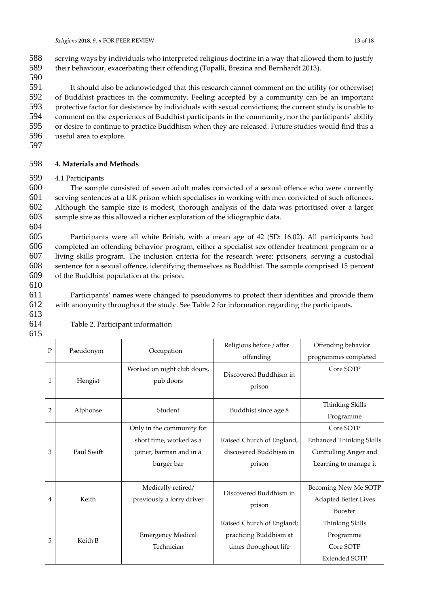588 serving ways by individuals who interpreted religious doctrine in a way that allowed them to justify 589 their behaviour, exacerbating their offending (Topalli, Brezina and Bernhardt 2013).

590

 It should also be acknowledged that this research cannot comment on the utility (or otherwise) of Buddhist practices in the community. Feeling accepted by a community can be an important protective factor for desistance by individuals with sexual convictions; the current study is unable to comment on the experiences of Buddhist participants in the community, nor the participants' ability or desire to continue to practice Buddhism when they are released. Future studies would find this a useful area to explore.

597

#### 598 **4. Materials and Methods**

#### 599 4.1 Participants

 The sample consisted of seven adult males convicted of a sexual offence who were currently serving sentences at a UK prison which specialises in working with men convicted of such offences. Although the sample size is modest, thorough analysis of the data was prioritised over a larger sample size as this allowed a richer exploration of the idiographic data.

604

 Participants were all white British, with a mean age of 42 (SD: 16.02). All participants had completed an offending behavior program, either a specialist sex offender treatment program or a living skills program. The inclusion criteria for the research were: prisoners, serving a custodial sentence for a sexual offence, identifying themselves as Buddhist. The sample comprised 15 percent of the Buddhist population at the prison.

610

611 Participants' names were changed to pseudonyms to protect their identities and provide them 612 with anonymity throughout the study. See Table 2 for information regarding the participants.

- 613
- 

# 614 Table 2. Participant information

615

| $\mathbf{P}$   | Pseudonym  | Occupation                               | Religious before / after         | Offending behavior              |
|----------------|------------|------------------------------------------|----------------------------------|---------------------------------|
|                |            |                                          | offending                        | programmes completed            |
| $\mathbf{1}$   | Hengist    | Worked on night club doors,<br>pub doors | Discovered Buddhism in<br>prison | Core SOTP                       |
| $\overline{2}$ | Alphonse   | Student                                  | Buddhist since age 8             | Thinking Skills                 |
|                |            |                                          |                                  | Programme                       |
|                | Paul Swift | Only in the community for                |                                  | Core SOTP                       |
|                |            | short time, worked as a                  | Raised Church of England,        | <b>Enhanced Thinking Skills</b> |
| 3              |            | joiner, barman and in a                  | discovered Buddhism in           | Controlling Anger and           |
|                |            | burger bar                               | prison                           | Learning to manage it           |
|                |            |                                          |                                  |                                 |
|                | Keith      | Medically retired/                       | Discovered Buddhism in<br>prison | Becoming New Me SOTP            |
| 4              |            | previously a lorry driver                |                                  | <b>Adapted Better Lives</b>     |
|                |            |                                          |                                  | <b>Booster</b>                  |
|                | Keith B    |                                          | Raised Church of England;        | Thinking Skills                 |
| 5              |            | <b>Emergency Medical</b>                 | practicing Buddhism at           | Programme                       |
|                |            | Technician                               | times throughout life            | Core SOTP                       |
|                |            |                                          |                                  | <b>Extended SOTP</b>            |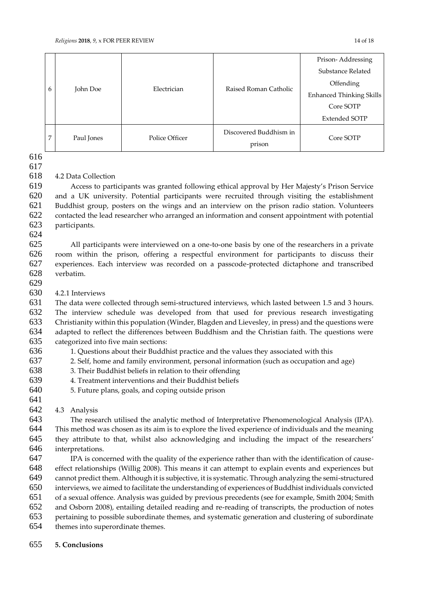|   |   |            |                |                                  | Prison-Addressing               |
|---|---|------------|----------------|----------------------------------|---------------------------------|
| 6 |   | John Doe   | Electrician    | Raised Roman Catholic            | Substance Related               |
|   |   |            |                |                                  | Offending                       |
|   |   |            |                |                                  | <b>Enhanced Thinking Skills</b> |
|   |   |            |                |                                  | Core SOTP                       |
|   |   |            |                |                                  | <b>Extended SOTP</b>            |
|   | 7 | Paul Jones | Police Officer | Discovered Buddhism in<br>prison | Core SOTP                       |

 4.2 Data Collection

 Access to participants was granted following ethical approval by Her Majesty's Prison Service and a UK university. Potential participants were recruited through visiting the establishment Buddhist group, posters on the wings and an interview on the prison radio station. Volunteers contacted the lead researcher who arranged an information and consent appointment with potential participants.

 All participants were interviewed on a one-to-one basis by one of the researchers in a private room within the prison, offering a respectful environment for participants to discuss their experiences. Each interview was recorded on a passcode-protected dictaphone and transcribed verbatim.

#### 4.2.1 Interviews

The data were collected through semi-structured interviews, which lasted between 1.5 and 3 hours.

 The interview schedule was developed from that used for previous research investigating Christianity within this population (Winder, Blagden and Lievesley, in press) and the questions were

 adapted to reflect the differences between Buddhism and the Christian faith. The questions were categorized into five main sections:

- 1. Questions about their Buddhist practice and the values they associated with this
- 2. Self, home and family environment, personal information (such as occupation and age)
- 3. Their Buddhist beliefs in relation to their offending
- 4. Treatment interventions and their Buddhist beliefs
- 5. Future plans, goals, and coping outside prison
- 
- 4.3 Analysis

 The research utilised the analytic method of Interpretative Phenomenological Analysis (IPA). This method was chosen as its aim is to explore the lived experience of individuals and the meaning they attribute to that, whilst also acknowledging and including the impact of the researchers' interpretations.

 IPA is concerned with the quality of the experience rather than with the identification of cause- effect relationships (Willig 2008). This means it can attempt to explain events and experiences but cannot predict them. Although it is subjective, it is systematic. Through analyzing the semi-structured interviews, we aimed to facilitate the understanding of experiences of Buddhist individuals convicted of a sexual offence. Analysis was guided by previous precedents (see for example, Smith 2004; Smith and Osborn 2008), entailing detailed reading and re-reading of transcripts, the production of notes pertaining to possible subordinate themes, and systematic generation and clustering of subordinate

themes into superordinate themes.

#### **5. Conclusions**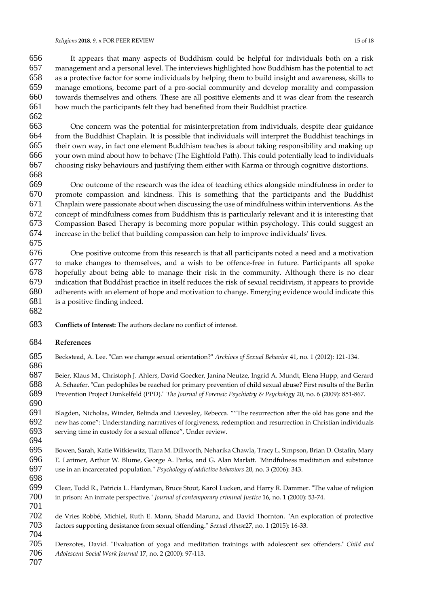It appears that many aspects of Buddhism could be helpful for individuals both on a risk management and a personal level. The interviews highlighted how Buddhism has the potential to act as a protective factor for some individuals by helping them to build insight and awareness, skills to manage emotions, become part of a pro-social community and develop morality and compassion towards themselves and others. These are all positive elements and it was clear from the research how much the participants felt they had benefited from their Buddhist practice.

 One concern was the potential for misinterpretation from individuals, despite clear guidance from the Buddhist Chaplain. It is possible that individuals will interpret the Buddhist teachings in their own way, in fact one element Buddhism teaches is about taking responsibility and making up your own mind about how to behave (The Eightfold Path). This could potentially lead to individuals choosing risky behaviours and justifying them either with Karma or through cognitive distortions. 

 One outcome of the research was the idea of teaching ethics alongside mindfulness in order to promote compassion and kindness. This is something that the participants and the Buddhist Chaplain were passionate about when discussing the use of mindfulness within interventions. As the concept of mindfulness comes from Buddhism this is particularly relevant and it is interesting that Compassion Based Therapy is becoming more popular within psychology. This could suggest an increase in the belief that building compassion can help to improve individuals' lives.

 One positive outcome from this research is that all participants noted a need and a motivation to make changes to themselves, and a wish to be offence-free in future. Participants all spoke hopefully about being able to manage their risk in the community. Although there is no clear indication that Buddhist practice in itself reduces the risk of sexual recidivism, it appears to provide adherents with an element of hope and motivation to change. Emerging evidence would indicate this is a positive finding indeed.

**Conflicts of Interest:** The authors declare no conflict of interest.

#### **References**

 Beckstead, A. Lee. "Can we change sexual orientation?" *Archives of Sexual Behavior* 41, no. 1 (2012): 121-134. 

 Beier, Klaus M., Christoph J. Ahlers, David Goecker, Janina Neutze, Ingrid A. Mundt, Elena Hupp, and Gerard A. Schaefer. "Can pedophiles be reached for primary prevention of child sexual abuse? First results of the Berlin Prevention Project Dunkelfeld (PPD)." *The Journal of Forensic Psychiatry & Psychology* 20, no. 6 (2009): 851-867.

- Blagden, Nicholas, Winder, Belinda and Lievesley, Rebecca. ""The resurrection after the old has gone and the new has come": Understanding narratives of forgiveness, redemption and resurrection in Christian individuals
- serving time in custody for a sexual offence", Under review.
- 

 Bowen, Sarah, Katie Witkiewitz, Tiara M. Dillworth, Neharika Chawla, Tracy L. Simpson, Brian D. Ostafin, Mary E. Larimer, Arthur W. Blume, George A. Parks, and G. Alan Marlatt. "Mindfulness meditation and substance use in an incarcerated population." *Psychology of addictive behaviors* 20, no. 3 (2006): 343.

- 
- Clear, Todd R., Patricia L. Hardyman, Bruce Stout, Karol Lucken, and Harry R. Dammer. "The value of religion in prison: An inmate perspective." *Journal of contemporary criminal Justice* 16, no. 1 (2000): 53-74.
- de Vries Robbé, Michiel, Ruth E. Mann, Shadd Maruna, and David Thornton. "An exploration of protective factors supporting desistance from sexual offending." *Sexual Abuse*27, no. 1 (2015): 16-33.
- 
- Derezotes, David. "Evaluation of yoga and meditation trainings with adolescent sex offenders." *Child and Adolescent Social Work Journal* 17, no. 2 (2000): 97-113.
-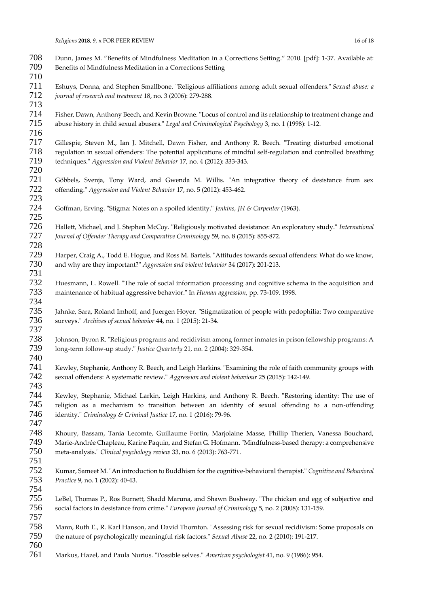- Dunn, James M. "Benefits of Mindfulness Meditation in a Corrections Setting." 2010. [pdf]: 1-37. Available at: Benefits of Mindfulness Meditation in a Corrections Setting Eshuys, Donna, and Stephen Smallbone. "Religious affiliations among adult sexual offenders." *Sexual abuse: a journal of research and treatment* 18, no. 3 (2006): 279-288. Fisher, Dawn, Anthony Beech, and Kevin Browne. "Locus of control and its relationship to treatment change and abuse history in child sexual abusers." *Legal and Criminological Psychology* 3, no. 1 (1998): 1-12. Gillespie, Steven M., Ian J. Mitchell, Dawn Fisher, and Anthony R. Beech. "Treating disturbed emotional regulation in sexual offenders: The potential applications of mindful self-regulation and controlled breathing techniques." *Aggression and Violent Behavior* 17, no. 4 (2012): 333-343. 721 Göbbels, Svenja, Tony Ward, and Gwenda M. Willis. "An integrative theory of desistance from sex<br>722 offending." Aggression and Violent Behavior 17, no. 5 (2012): 453-462. offending." *Aggression and Violent Behavior* 17, no. 5 (2012): 453-462. Goffman, Erving. "Stigma: Notes on a spoiled identity." *Jenkins, JH & Carpenter* (1963). Hallett, Michael, and J. Stephen McCoy. "Religiously motivated desistance: An exploratory study." *International Journal of Offender Therapy and Comparative Criminology* 59, no. 8 (2015): 855-872. Harper, Craig A., Todd E. Hogue, and Ross M. Bartels. "Attitudes towards sexual offenders: What do we know, and why are they important?" *Aggression and violent behavior* 34 (2017): 201-213. Huesmann, L. Rowell. "The role of social information processing and cognitive schema in the acquisition and maintenance of habitual aggressive behavior." In *Human aggression*, pp. 73-109. 1998. Jahnke, Sara, Roland Imhoff, and Juergen Hoyer. "Stigmatization of people with pedophilia: Two comparative surveys." *Archives of sexual behavior* 44, no. 1 (2015): 21-34. Johnson, Byron R. "Religious programs and recidivism among former inmates in prison fellowship programs: A long-term follow-up study." *Justice Quarterly* 21, no. 2 (2004): 329-354. Kewley, Stephanie, Anthony R. Beech, and Leigh Harkins. "Examining the role of faith community groups with sexual offenders: A systematic review." *Aggression and violent behaviour* 25 (2015): 142-149. Kewley, Stephanie, Michael Larkin, Leigh Harkins, and Anthony R. Beech. "Restoring identity: The use of religion as a mechanism to transition between an identity of sexual offending to a non-offending identity." *Criminology & Criminal Justice* 17, no. 1 (2016): 79-96. Khoury, Bassam, Tania Lecomte, Guillaume Fortin, Marjolaine Masse, Phillip Therien, Vanessa Bouchard, Marie-Andrée Chapleau, Karine Paquin, and Stefan G. Hofmann. "Mindfulness-based therapy: a comprehensive meta-analysis." *Clinical psychology review* 33, no. 6 (2013): 763-771. Kumar, Sameet M. "An introduction to Buddhism for the cognitive-behavioral therapist." *Cognitive and Behavioral Practice* 9, no. 1 (2002): 40-43. LeBel, Thomas P., Ros Burnett, Shadd Maruna, and Shawn Bushway. "The chicken and egg of subjective and social factors in desistance from crime." *European Journal of Criminology* 5, no. 2 (2008): 131-159. Mann, Ruth E., R. Karl Hanson, and David Thornton. "Assessing risk for sexual recidivism: Some proposals on the nature of psychologically meaningful risk factors." *Sexual Abuse* 22, no. 2 (2010): 191-217.
- 
- Markus, Hazel, and Paula Nurius. "Possible selves." *American psychologist* 41, no. 9 (1986): 954.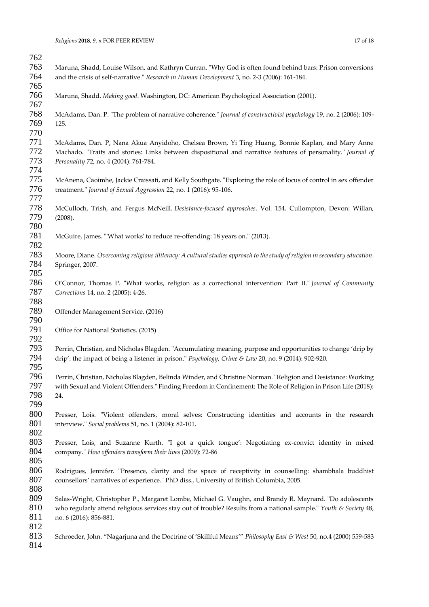| 762                      |                                                                                                                                                                                                                                                        |
|--------------------------|--------------------------------------------------------------------------------------------------------------------------------------------------------------------------------------------------------------------------------------------------------|
| 763<br>764               | Maruna, Shadd, Louise Wilson, and Kathryn Curran. "Why God is often found behind bars: Prison conversions<br>and the crisis of self-narrative." Research in Human Development 3, no. 2-3 (2006): 161-184.                                              |
| 765                      |                                                                                                                                                                                                                                                        |
| 766<br>767               | Maruna, Shadd. Making good. Washington, DC: American Psychological Association (2001).                                                                                                                                                                 |
| 768<br>769               | McAdams, Dan. P. "The problem of narrative coherence." Journal of constructivist psychology 19, no. 2 (2006): 109-<br>125.                                                                                                                             |
| 770<br>771<br>772        | McAdams, Dan. P, Nana Akua Anyidoho, Chelsea Brown, Yi Ting Huang, Bonnie Kaplan, and Mary Anne<br>Machado. "Traits and stories: Links between dispositional and narrative features of personality." Journal of                                        |
| 773<br>774               | Personality 72, no. 4 (2004): 761-784.                                                                                                                                                                                                                 |
| 775<br>776<br>777        | McAnena, Caoimhe, Jackie Craissati, and Kelly Southgate. "Exploring the role of locus of control in sex offender<br>treatment." Journal of Sexual Aggression 22, no. 1 (2016): 95-106.                                                                 |
| 778<br>779<br>780        | McCulloch, Trish, and Fergus McNeill. Desistance-focused approaches. Vol. 154. Cullompton, Devon: Willan,<br>(2008).                                                                                                                                   |
| 781<br>782               | McGuire, James. "'What works' to reduce re-offending: 18 years on." (2013).                                                                                                                                                                            |
| 783<br>784<br>785        | Moore, Diane. Overcoming religious illiteracy: A cultural studies approach to the study of religion in secondary education.<br>Springer, 2007.                                                                                                         |
| 786<br>787<br>788        | O'Connor, Thomas P. "What works, religion as a correctional intervention: Part II." Journal of Community<br>Corrections 14, no. 2 (2005): 4-26.                                                                                                        |
| 789<br>790               | Offender Management Service. (2016)                                                                                                                                                                                                                    |
| 791<br>792               | Office for National Statistics. (2015)                                                                                                                                                                                                                 |
| 793<br>794<br>795        | Perrin, Christian, and Nicholas Blagden. "Accumulating meaning, purpose and opportunities to change 'drip by<br>drip': the impact of being a listener in prison." Psychology, Crime & Law 20, no. 9 (2014): 902-920.                                   |
| 796<br>797<br>798<br>799 | Perrin, Christian, Nicholas Blagden, Belinda Winder, and Christine Norman. "Religion and Desistance: Working<br>with Sexual and Violent Offenders." Finding Freedom in Confinement: The Role of Religion in Prison Life (2018):<br>24.                 |
| 800<br>801<br>802        | Presser, Lois. "Violent offenders, moral selves: Constructing identities and accounts in the research<br>interview." Social problems 51, no. 1 (2004): 82-101.                                                                                         |
| 803<br>804<br>805        | Presser, Lois, and Suzanne Kurth. "I got a quick tongue': Negotiating ex-convict identity in mixed<br>company." How offenders transform their lives (2009): 72-86                                                                                      |
| 806<br>807<br>808        | Rodrigues, Jennifer. "Presence, clarity and the space of receptivity in counselling: shambhala buddhist<br>counsellors' narratives of experience." PhD diss., University of British Columbia, 2005.                                                    |
| 809<br>810<br>811        | Salas-Wright, Christopher P., Margaret Lombe, Michael G. Vaughn, and Brandy R. Maynard. "Do adolescents<br>who regularly attend religious services stay out of trouble? Results from a national sample." Youth & Society 48,<br>no. 6 (2016): 856-881. |
| 812<br>813<br>814        | Schroeder, John. "Nagarjuna and the Doctrine of 'Skillful Means'" Philosophy East & West 50, no.4 (2000) 559-583                                                                                                                                       |